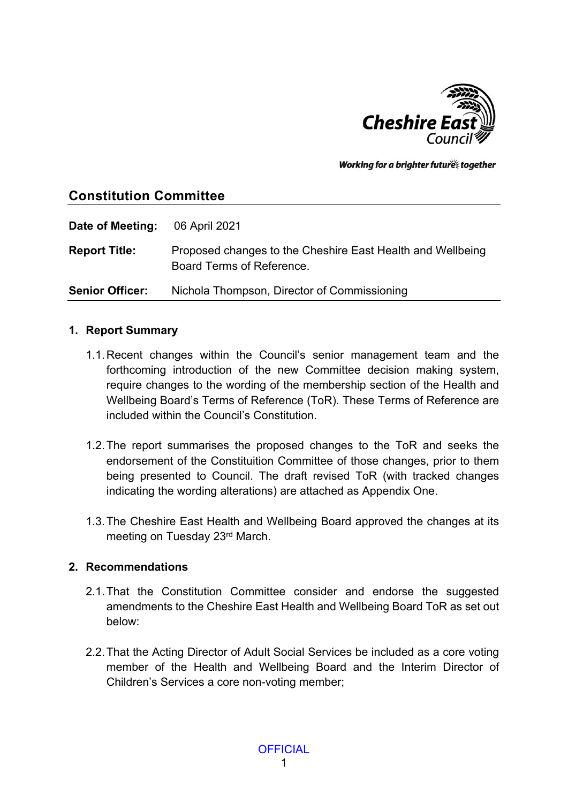

Working for a brighter futures together

# **Constitution Committee**

**Date of Meeting:** 06 April 2021 **Report Title:** Proposed changes to the Cheshire East Health and Wellbeing Board Terms of Reference. **Senior Officer:** Nichola Thompson, Director of Commissioning

#### **1. Report Summary**

- 1.1.Recent changes within the Council's senior management team and the forthcoming introduction of the new Committee decision making system, require changes to the wording of the membership section of the Health and Wellbeing Board's Terms of Reference (ToR). These Terms of Reference are included within the Council's Constitution.
- 1.2.The report summarises the proposed changes to the ToR and seeks the endorsement of the Constituition Committee of those changes, prior to them being presented to Council. The draft revised ToR (with tracked changes indicating the wording alterations) are attached as Appendix One.
- 1.3.The Cheshire East Health and Wellbeing Board approved the changes at its meeting on Tuesday 23rd March.

### **2. Recommendations**

- 2.1.That the Constitution Committee consider and endorse the suggested amendments to the Cheshire East Health and Wellbeing Board ToR as set out below:
- 2.2.That the Acting Director of Adult Social Services be included as a core voting member of the Health and Wellbeing Board and the Interim Director of Children's Services a core non-voting member;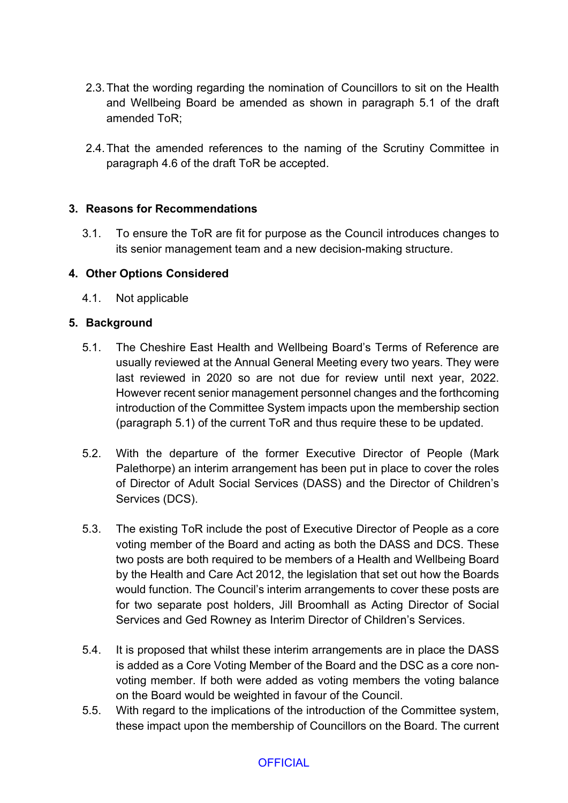- 2.3.That the wording regarding the nomination of Councillors to sit on the Health and Wellbeing Board be amended as shown in paragraph 5.1 of the draft amended ToR;
- 2.4.That the amended references to the naming of the Scrutiny Committee in paragraph 4.6 of the draft ToR be accepted.

### **3. Reasons for Recommendations**

3.1. To ensure the ToR are fit for purpose as the Council introduces changes to its senior management team and a new decision-making structure.

#### **4. Other Options Considered**

4.1. Not applicable

#### **5. Background**

- 5.1. The Cheshire East Health and Wellbeing Board's Terms of Reference are usually reviewed at the Annual General Meeting every two years. They were last reviewed in 2020 so are not due for review until next year, 2022. However recent senior management personnel changes and the forthcoming introduction of the Committee System impacts upon the membership section (paragraph 5.1) of the current ToR and thus require these to be updated.
- 5.2. With the departure of the former Executive Director of People (Mark Palethorpe) an interim arrangement has been put in place to cover the roles of Director of Adult Social Services (DASS) and the Director of Children's Services (DCS).
- 5.3. The existing ToR include the post of Executive Director of People as a core voting member of the Board and acting as both the DASS and DCS. These two posts are both required to be members of a Health and Wellbeing Board by the Health and Care Act 2012, the legislation that set out how the Boards would function. The Council's interim arrangements to cover these posts are for two separate post holders, Jill Broomhall as Acting Director of Social Services and Ged Rowney as Interim Director of Children's Services.
- 5.4. It is proposed that whilst these interim arrangements are in place the DASS is added as a Core Voting Member of the Board and the DSC as a core nonvoting member. If both were added as voting members the voting balance on the Board would be weighted in favour of the Council.
- 5.5. With regard to the implications of the introduction of the Committee system, these impact upon the membership of Councillors on the Board. The current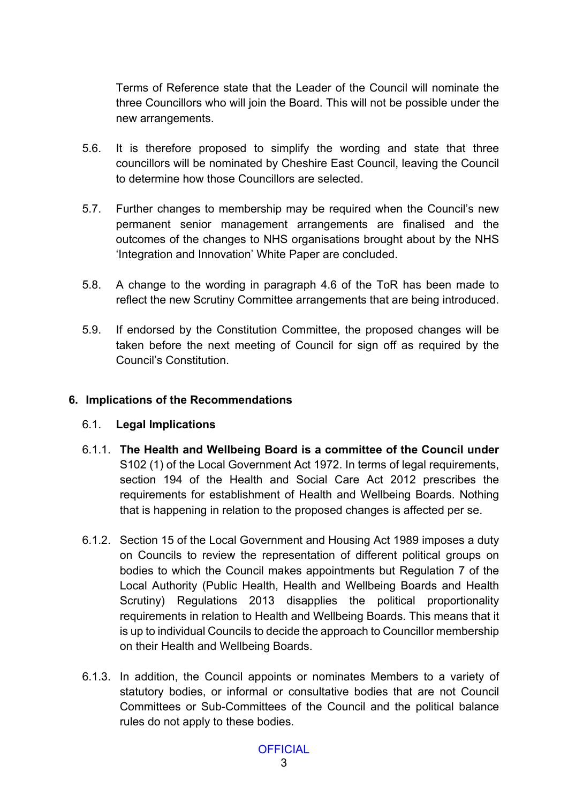Terms of Reference state that the Leader of the Council will nominate the three Councillors who will join the Board. This will not be possible under the new arrangements.

- 5.6. It is therefore proposed to simplify the wording and state that three councillors will be nominated by Cheshire East Council, leaving the Council to determine how those Councillors are selected.
- 5.7. Further changes to membership may be required when the Council's new permanent senior management arrangements are finalised and the outcomes of the changes to NHS organisations brought about by the NHS 'Integration and Innovation' White Paper are concluded.
- 5.8. A change to the wording in paragraph 4.6 of the ToR has been made to reflect the new Scrutiny Committee arrangements that are being introduced.
- 5.9. If endorsed by the Constitution Committee, the proposed changes will be taken before the next meeting of Council for sign off as required by the Council's Constitution.

#### **6. Implications of the Recommendations**

#### 6.1. **Legal Implications**

- 6.1.1. **The Health and Wellbeing Board is a committee of the Council under** S102 (1) of the Local Government Act 1972. In terms of legal requirements, section 194 of the Health and Social Care Act 2012 prescribes the requirements for establishment of Health and Wellbeing Boards. Nothing that is happening in relation to the proposed changes is affected per se.
- 6.1.2. Section 15 of the Local Government and Housing Act 1989 imposes a duty on Councils to review the representation of different political groups on bodies to which the Council makes appointments but Regulation 7 of the Local Authority (Public Health, Health and Wellbeing Boards and Health Scrutiny) Regulations 2013 disapplies the political proportionality requirements in relation to Health and Wellbeing Boards. This means that it is up to individual Councils to decide the approach to Councillor membership on their Health and Wellbeing Boards.
- 6.1.3. In addition, the Council appoints or nominates Members to a variety of statutory bodies, or informal or consultative bodies that are not Council Committees or Sub-Committees of the Council and the political balance rules do not apply to these bodies.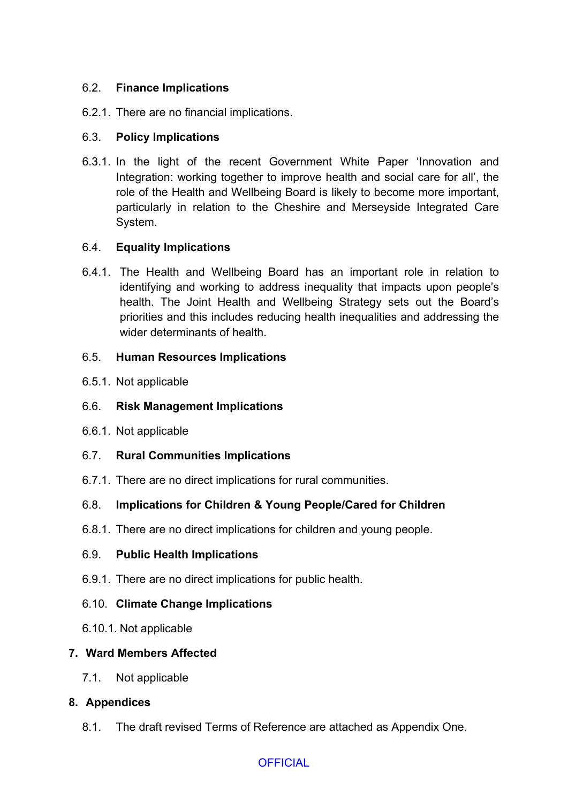### 6.2. **Finance Implications**

6.2.1. There are no financial implications.

### 6.3. **Policy Implications**

6.3.1. In the light of the recent Government White Paper 'Innovation and Integration: working together to improve health and social care for all', the role of the Health and Wellbeing Board is likely to become more important, particularly in relation to the Cheshire and Merseyside Integrated Care System.

### 6.4. **Equality Implications**

6.4.1. The Health and Wellbeing Board has an important role in relation to identifying and working to address inequality that impacts upon people's health. The Joint Health and Wellbeing Strategy sets out the Board's priorities and this includes reducing health inequalities and addressing the wider determinants of health.

### 6.5. **Human Resources Implications**

6.5.1. Not applicable

### 6.6. **Risk Management Implications**

6.6.1. Not applicable

# 6.7. **Rural Communities Implications**

6.7.1. There are no direct implications for rural communities.

# 6.8. **Implications for Children & Young People/Cared for Children**

6.8.1. There are no direct implications for children and young people.

### 6.9. **Public Health Implications**

6.9.1. There are no direct implications for public health.

### 6.10. **Climate Change Implications**

6.10.1. Not applicable

### **7. Ward Members Affected**

7.1. Not applicable

# **8. Appendices**

8.1. The draft revised Terms of Reference are attached as Appendix One.

# **OFFICIAL**